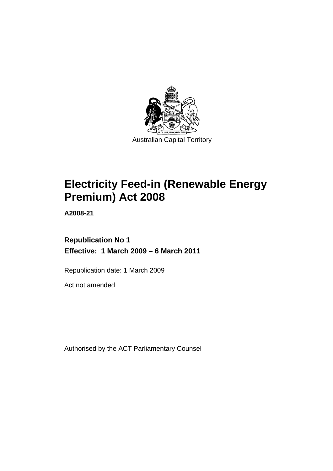

# **[Electricity Feed-in \(Renewable Energy](#page-4-0)  [Premium\) Act 2008](#page-4-0)**

**A2008-21** 

**Republication No 1 Effective: 1 March 2009 – 6 March 2011** 

Republication date: 1 March 2009

Act not amended

Authorised by the ACT Parliamentary Counsel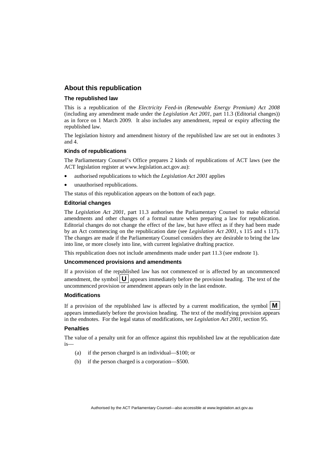#### **About this republication**

#### **The republished law**

This is a republication of the *Electricity Feed-in (Renewable Energy Premium) Act 2008* (including any amendment made under the *Legislation Act 2001*, part 11.3 (Editorial changes)) as in force on 1 March 2009*.* It also includes any amendment, repeal or expiry affecting the republished law.

The legislation history and amendment history of the republished law are set out in endnotes 3 and 4.

#### **Kinds of republications**

The Parliamentary Counsel's Office prepares 2 kinds of republications of ACT laws (see the ACT legislation register at www.legislation.act.gov.au):

- authorised republications to which the *Legislation Act 2001* applies
- unauthorised republications.

The status of this republication appears on the bottom of each page.

#### **Editorial changes**

The *Legislation Act 2001*, part 11.3 authorises the Parliamentary Counsel to make editorial amendments and other changes of a formal nature when preparing a law for republication. Editorial changes do not change the effect of the law, but have effect as if they had been made by an Act commencing on the republication date (see *Legislation Act 2001*, s 115 and s 117). The changes are made if the Parliamentary Counsel considers they are desirable to bring the law into line, or more closely into line, with current legislative drafting practice.

This republication does not include amendments made under part 11.3 (see endnote 1).

#### **Uncommenced provisions and amendments**

If a provision of the republished law has not commenced or is affected by an uncommenced amendment, the symbol  $\mathbf{U}$  appears immediately before the provision heading. The text of the uncommenced provision  $\overline{or}$  amendment appears only in the last endnote.

#### **Modifications**

If a provision of the republished law is affected by a current modification, the symbol  $\mathbf{M}$ appears immediately before the provision heading. The text of the modifying provision appears in the endnotes. For the legal status of modifications, see *Legislation Act 2001*, section 95.

#### **Penalties**

The value of a penalty unit for an offence against this republished law at the republication date is—

- (a) if the person charged is an individual—\$100; or
- (b) if the person charged is a corporation—\$500.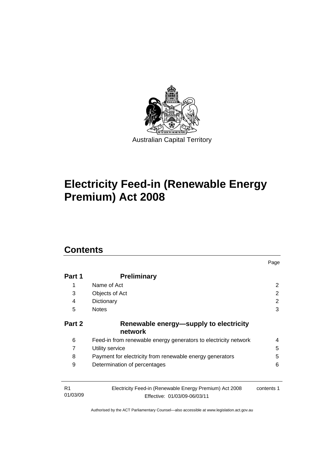

# **[Electricity Feed-in \(Renewable Energy](#page-4-0)  [Premium\) Act 2008](#page-4-0)**

# **Contents**

| Part 1                                                     | <b>Preliminary</b>                                                                      |             |
|------------------------------------------------------------|-----------------------------------------------------------------------------------------|-------------|
| Name of Act<br>1<br>3<br>Objects of Act<br>4<br>Dictionary |                                                                                         | 2<br>2<br>2 |
|                                                            |                                                                                         |             |
|                                                            | 5                                                                                       |             |
| Part 2                                                     | Renewable energy—supply to electricity<br>network                                       |             |
| 6                                                          | Feed-in from renewable energy generators to electricity network                         | 4           |
| 7<br>Utility service<br>8                                  |                                                                                         | 5           |
|                                                            | Payment for electricity from renewable energy generators                                | 5           |
| 9                                                          | Determination of percentages                                                            | 6           |
|                                                            |                                                                                         |             |
| R <sub>1</sub><br>01/03/09                                 | Electricity Feed-in (Renewable Energy Premium) Act 2008<br>Effective: 01/03/09-06/03/11 | contents 1  |

Page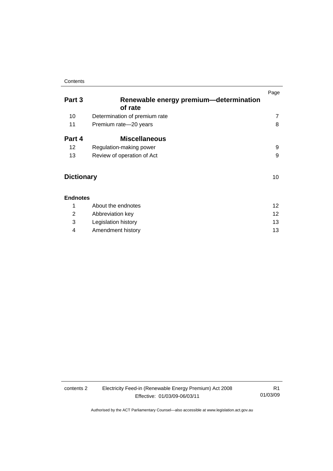#### **Contents**

| Part 3            | Renewable energy premium-determination<br>of rate | Page |
|-------------------|---------------------------------------------------|------|
| 10                | Determination of premium rate                     | 7    |
| 11                | Premium rate-20 years                             | 8    |
| Part 4            | <b>Miscellaneous</b>                              |      |
| 12                | Regulation-making power                           | 9    |
| 13                | Review of operation of Act                        | 9    |
| <b>Dictionary</b> |                                                   |      |
| <b>Endnotes</b>   |                                                   |      |
| 1                 | About the endnotes                                | 12   |
| 2                 | Abbreviation key                                  | 12   |

3 Legislation history [13](#page-16-0) 4 Amendment history [13](#page-16-0)

contents 2 Electricity Feed-in (Renewable Energy Premium) Act 2008 Effective: 01/03/09-06/03/11

R1 01/03/09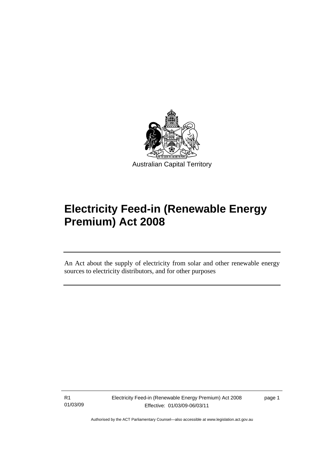<span id="page-4-0"></span>

# **Electricity Feed-in (Renewable Energy Premium) Act 2008**

An Act about the supply of electricity from solar and other renewable energy sources to electricity distributors, and for other purposes

R1 01/03/09

Ī

Electricity Feed-in (Renewable Energy Premium) Act 2008 Effective: 01/03/09-06/03/11

page 1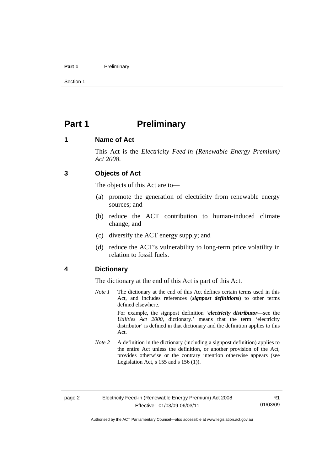#### <span id="page-5-0"></span>Part 1 **Preliminary**

Section 1

## **Part 1** Preliminary

## **1 Name of Act**

This Act is the *Electricity Feed-in (Renewable Energy Premium) Act 2008*.

## **3 Objects of Act**

The objects of this Act are to—

- (a) promote the generation of electricity from renewable energy sources; and
- (b) reduce the ACT contribution to human-induced climate change; and
- (c) diversify the ACT energy supply; and
- (d) reduce the ACT's vulnerability to long-term price volatility in relation to fossil fuels.

### **4 Dictionary**

The dictionary at the end of this Act is part of this Act.

- *Note 1* The dictionary at the end of this Act defines certain terms used in this Act, and includes references (*signpost definitions*) to other terms defined elsewhere. For example, the signpost definition '*electricity distributor*—see the *Utilities Act 2000*, dictionary.' means that the term 'electricity distributor' is defined in that dictionary and the definition applies to this Act.
- *Note 2* A definition in the dictionary (including a signpost definition) applies to the entire Act unless the definition, or another provision of the Act, provides otherwise or the contrary intention otherwise appears (see Legislation Act,  $s$  155 and  $s$  156 (1)).

R1 01/03/09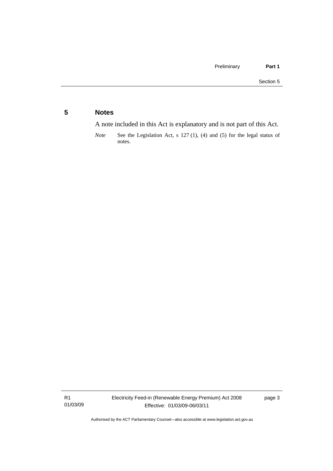## <span id="page-6-0"></span>**5 Notes**

A note included in this Act is explanatory and is not part of this Act.

*Note* See the Legislation Act, s 127 (1), (4) and (5) for the legal status of notes.

R1 01/03/09 page 3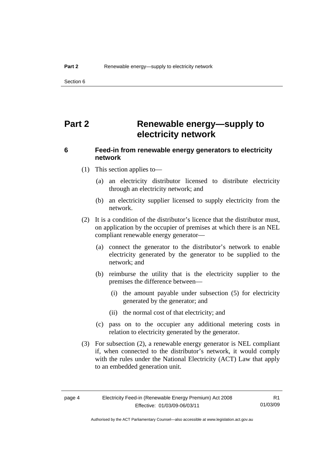<span id="page-7-0"></span>Section 6

# **Part 2 Renewable energy—supply to electricity network**

## **6 Feed-in from renewable energy generators to electricity network**

- (1) This section applies to—
	- (a) an electricity distributor licensed to distribute electricity through an electricity network; and
	- (b) an electricity supplier licensed to supply electricity from the network.
- (2) It is a condition of the distributor's licence that the distributor must, on application by the occupier of premises at which there is an NEL compliant renewable energy generator—
	- (a) connect the generator to the distributor's network to enable electricity generated by the generator to be supplied to the network; and
	- (b) reimburse the utility that is the electricity supplier to the premises the difference between—
		- (i) the amount payable under subsection (5) for electricity generated by the generator; and
		- (ii) the normal cost of that electricity; and
	- (c) pass on to the occupier any additional metering costs in relation to electricity generated by the generator.
- (3) For subsection (2), a renewable energy generator is NEL compliant if, when connected to the distributor's network, it would comply with the rules under the National Electricity (ACT) Law that apply to an embedded generation unit.

R1 01/03/09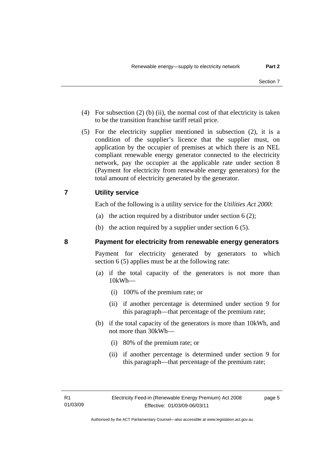- <span id="page-8-0"></span> (4) For subsection (2) (b) (ii), the normal cost of that electricity is taken to be the transition franchise tariff retail price.
- (5) For the electricity supplier mentioned in subsection (2), it is a condition of the supplier's licence that the supplier must, on application by the occupier of premises at which there is an NEL compliant renewable energy generator connected to the electricity network, pay the occupier at the applicable rate under section 8 (Payment for electricity from renewable energy generators) for the total amount of electricity generated by the generator.

## **7 Utility service**

Each of the following is a utility service for the *Utilities Act 2000*:

- (a) the action required by a distributor under section  $6(2)$ ;
- (b) the action required by a supplier under section 6 (5).

#### **8 Payment for electricity from renewable energy generators**

Payment for electricity generated by generators to which section 6 (5) applies must be at the following rate:

- (a) if the total capacity of the generators is not more than 10kWh—
	- (i) 100% of the premium rate; or
	- (ii) if another percentage is determined under section 9 for this paragraph—that percentage of the premium rate;
- (b) if the total capacity of the generators is more than 10kWh, and not more than 30kWh—
	- (i) 80% of the premium rate; or
	- (ii) if another percentage is determined under section 9 for this paragraph—that percentage of the premium rate;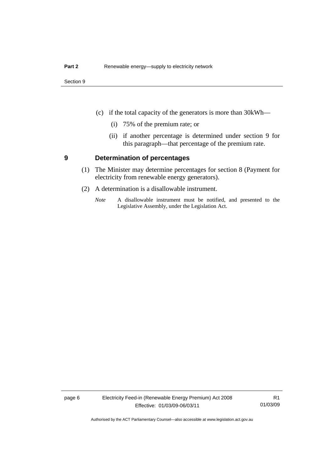- <span id="page-9-0"></span> (c) if the total capacity of the generators is more than 30kWh—
	- (i) 75% of the premium rate; or
	- (ii) if another percentage is determined under section 9 for this paragraph—that percentage of the premium rate.

#### **9 Determination of percentages**

- (1) The Minister may determine percentages for section 8 (Payment for electricity from renewable energy generators).
- (2) A determination is a disallowable instrument.
	- *Note* A disallowable instrument must be notified, and presented to the Legislative Assembly, under the Legislation Act.

page 6 Electricity Feed-in (Renewable Energy Premium) Act 2008 Effective: 01/03/09-06/03/11

R1 01/03/09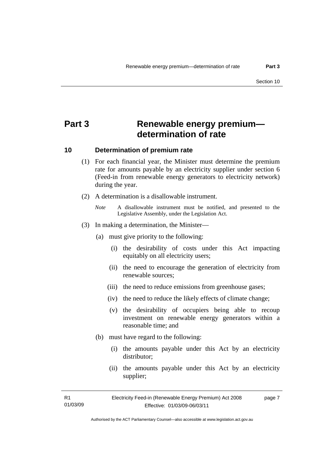# <span id="page-10-0"></span>**Part 3 Renewable energy premium determination of rate**

#### **10 Determination of premium rate**

- (1) For each financial year, the Minister must determine the premium rate for amounts payable by an electricity supplier under section 6 (Feed-in from renewable energy generators to electricity network) during the year.
- (2) A determination is a disallowable instrument.
	- *Note* A disallowable instrument must be notified, and presented to the Legislative Assembly, under the Legislation Act.
- (3) In making a determination, the Minister—
	- (a) must give priority to the following:
		- (i) the desirability of costs under this Act impacting equitably on all electricity users;
		- (ii) the need to encourage the generation of electricity from renewable sources;
		- (iii) the need to reduce emissions from greenhouse gases;
		- (iv) the need to reduce the likely effects of climate change;
		- (v) the desirability of occupiers being able to recoup investment on renewable energy generators within a reasonable time; and
	- (b) must have regard to the following:
		- (i) the amounts payable under this Act by an electricity distributor;
		- (ii) the amounts payable under this Act by an electricity supplier;

R1 01/03/09 page 7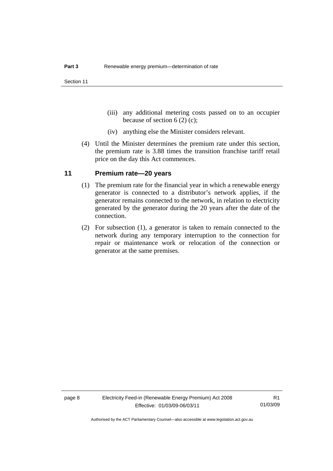- <span id="page-11-0"></span> (iii) any additional metering costs passed on to an occupier because of section 6 (2) (c);
- (iv) anything else the Minister considers relevant.
- (4) Until the Minister determines the premium rate under this section, the premium rate is 3.88 times the transition franchise tariff retail price on the day this Act commences.

#### **11 Premium rate—20 years**

- (1) The premium rate for the financial year in which a renewable energy generator is connected to a distributor's network applies, if the generator remains connected to the network, in relation to electricity generated by the generator during the 20 years after the date of the connection.
- (2) For subsection (1), a generator is taken to remain connected to the network during any temporary interruption to the connection for repair or maintenance work or relocation of the connection or generator at the same premises.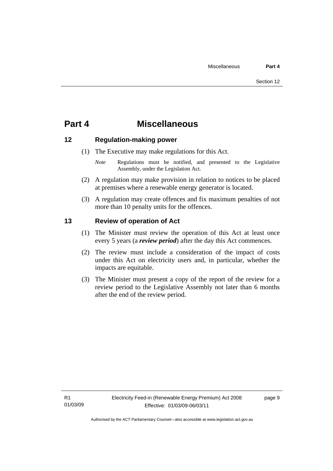## <span id="page-12-0"></span>**Part 4 Miscellaneous**

#### **12 Regulation-making power**

- (1) The Executive may make regulations for this Act.
	- *Note* **Regulations** must be notified, and presented to the Legislative Assembly, under the Legislation Act.
- (2) A regulation may make provision in relation to notices to be placed at premises where a renewable energy generator is located.
- (3) A regulation may create offences and fix maximum penalties of not more than 10 penalty units for the offences.

## **13 Review of operation of Act**

- (1) The Minister must review the operation of this Act at least once every 5 years (a *review period*) after the day this Act commences.
- (2) The review must include a consideration of the impact of costs under this Act on electricity users and, in particular, whether the impacts are equitable.
- (3) The Minister must present a copy of the report of the review for a review period to the Legislative Assembly not later than 6 months after the end of the review period.

page 9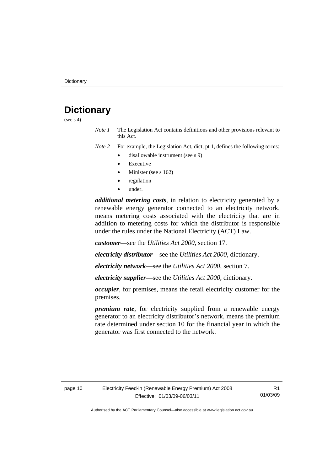# <span id="page-13-0"></span>**Dictionary**

(see  $s$  4)

*Note 1* The Legislation Act contains definitions and other provisions relevant to this Act.

*Note 2* For example, the Legislation Act, dict, pt 1, defines the following terms:

- disallowable instrument (see s 9)
- **Executive**
- Minister (see s 162)
- regulation
- under.

*additional metering costs*, in relation to electricity generated by a renewable energy generator connected to an electricity network, means metering costs associated with the electricity that are in addition to metering costs for which the distributor is responsible under the rules under the National Electricity (ACT) Law.

*customer*—see the *Utilities Act 2000*, section 17.

*electricity distributor*—see the *Utilities Act 2000*, dictionary.

*electricity network*—see the *Utilities Act 2000*, section 7.

*electricity supplier***—**see the *Utilities Act 2000*, dictionary.

*occupier*, for premises, means the retail electricity customer for the premises.

*premium rate*, for electricity supplied from a renewable energy generator to an electricity distributor's network, means the premium rate determined under section 10 for the financial year in which the generator was first connected to the network.

R1 01/03/09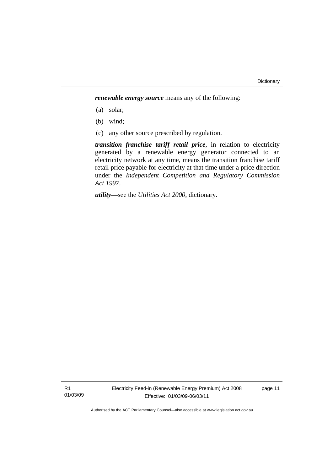*renewable energy source* means any of the following:

- (a) solar;
- (b) wind;
- (c) any other source prescribed by regulation.

*transition franchise tariff retail price*, in relation to electricity generated by a renewable energy generator connected to an electricity network at any time, means the transition franchise tariff retail price payable for electricity at that time under a price direction under the *Independent Competition and Regulatory Commission Act 1997*.

*utility***—**see the *Utilities Act 2000*, dictionary.

R1 01/03/09 page 11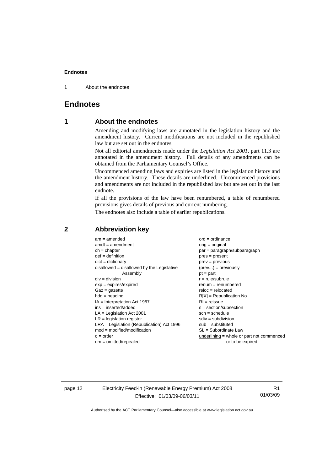#### <span id="page-15-0"></span>**Endnotes**

1 About the endnotes

## **Endnotes**

## **1 About the endnotes**

Amending and modifying laws are annotated in the legislation history and the amendment history. Current modifications are not included in the republished law but are set out in the endnotes.

Not all editorial amendments made under the *Legislation Act 2001*, part 11.3 are annotated in the amendment history. Full details of any amendments can be obtained from the Parliamentary Counsel's Office.

Uncommenced amending laws and expiries are listed in the legislation history and the amendment history. These details are underlined. Uncommenced provisions and amendments are not included in the republished law but are set out in the last endnote.

If all the provisions of the law have been renumbered, a table of renumbered provisions gives details of previous and current numbering.

The endnotes also include a table of earlier republications.

| $am = amended$                               | $ord = ordinance$                         |
|----------------------------------------------|-------------------------------------------|
| $amdt = amendment$                           | $orig = original$                         |
| $ch = chapter$                               | $par = paragraph/subparagraph$            |
| $def = definition$                           | $pres = present$                          |
| $dict = dictionary$                          | $prev = previous$                         |
| disallowed = disallowed by the Legislative   | $(\text{prev}) = \text{previously}$       |
| Assembly                                     | $pt = part$                               |
| $div = division$                             | $r = rule/subrule$                        |
| $exp = expires/expired$                      | $remum = renumbered$                      |
| $Gaz = gazette$                              | $reloc = relocated$                       |
| $hdg =$ heading                              | $R[X]$ = Republication No                 |
| $IA = Interpretation Act 1967$               | $RI = reissue$                            |
| $ins = inserted/added$                       | $s = section/subsection$                  |
| $LA =$ Legislation Act 2001                  | $sch = schedule$                          |
| $LR =$ legislation register                  | $sdiv = subdivision$                      |
| $LRA =$ Legislation (Republication) Act 1996 | $sub = substituted$                       |
| $mod = modified/modification$                | SL = Subordinate Law                      |
| $o = order$                                  | underlining = whole or part not commenced |
| $om = omitted/repealed$                      | or to be expired                          |
|                                              |                                           |

#### **2 Abbreviation key**

page 12 Electricity Feed-in (Renewable Energy Premium) Act 2008 Effective: 01/03/09-06/03/11

R1 01/03/09